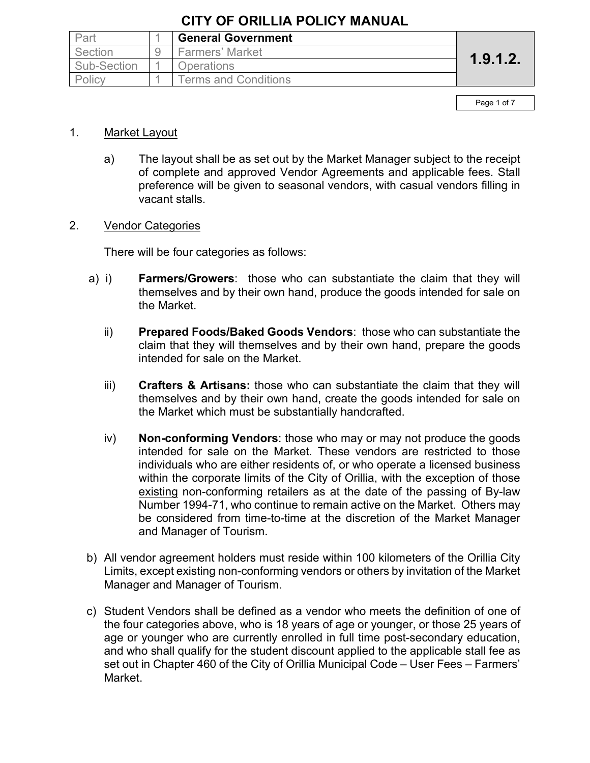| Part        | <b>General Government</b>   |          |
|-------------|-----------------------------|----------|
| Section     | <b>Farmers' Market</b>      | 1.9.1.2. |
| Sub-Section | <b>Operations</b>           |          |
| Policy      | <b>Terms and Conditions</b> |          |

Page 1 of 7

#### 1. Market Layout

a) The layout shall be as set out by the Market Manager subject to the receipt of complete and approved Vendor Agreements and applicable fees. Stall preference will be given to seasonal vendors, with casual vendors filling in vacant stalls.

#### 2. Vendor Categories

There will be four categories as follows:

- a) i) **Farmers/Growers**: those who can substantiate the claim that they will themselves and by their own hand, produce the goods intended for sale on the Market.
	- ii) **Prepared Foods/Baked Goods Vendors**: those who can substantiate the claim that they will themselves and by their own hand, prepare the goods intended for sale on the Market.
	- iii) **Crafters & Artisans:** those who can substantiate the claim that they will themselves and by their own hand, create the goods intended for sale on the Market which must be substantially handcrafted.
	- iv) **Non-conforming Vendors**: those who may or may not produce the goods intended for sale on the Market. These vendors are restricted to those individuals who are either residents of, or who operate a licensed business within the corporate limits of the City of Orillia, with the exception of those existing non-conforming retailers as at the date of the passing of By-law Number 1994-71, who continue to remain active on the Market. Others may be considered from time-to-time at the discretion of the Market Manager and Manager of Tourism.
- b) All vendor agreement holders must reside within 100 kilometers of the Orillia City Limits, except existing non-conforming vendors or others by invitation of the Market Manager and Manager of Tourism.
- c) Student Vendors shall be defined as a vendor who meets the definition of one of the four categories above, who is 18 years of age or younger, or those 25 years of age or younger who are currently enrolled in full time post-secondary education, and who shall qualify for the student discount applied to the applicable stall fee as set out in Chapter 460 of the City of Orillia Municipal Code – User Fees – Farmers' Market.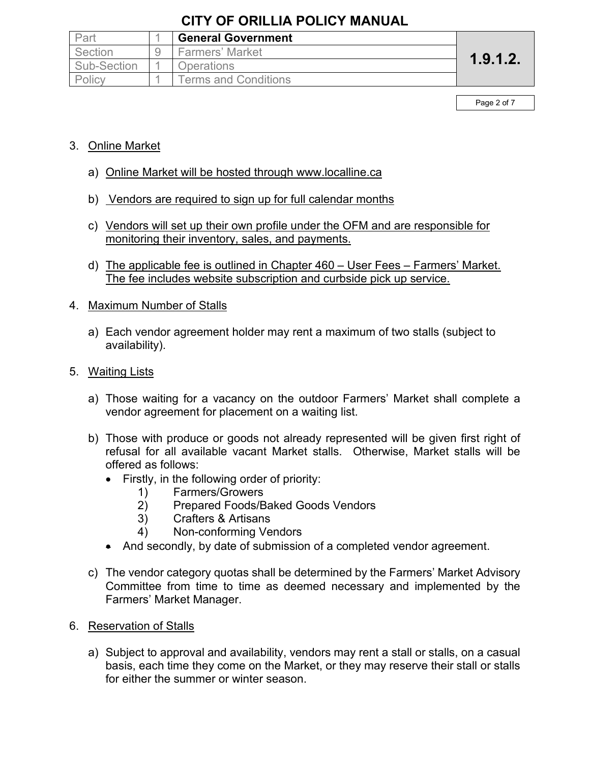| Part        | <b>General Government</b>   |          |
|-------------|-----------------------------|----------|
| Section     | Farmers' Market             |          |
| Sub-Section | <b>Operations</b>           | 1.9.1.2. |
| Policy      | <b>Terms and Conditions</b> |          |

Page 2 of 7

### 3. Online Market

- a) Online Market will be hosted through www.localline.ca
- b) Vendors are required to sign up for full calendar months
- c) Vendors will set up their own profile under the OFM and are responsible for monitoring their inventory, sales, and payments.
- d) The applicable fee is outlined in Chapter 460 User Fees Farmers' Market. The fee includes website subscription and curbside pick up service.

### 4. Maximum Number of Stalls

a) Each vendor agreement holder may rent a maximum of two stalls (subject to availability).

### 5. Waiting Lists

- a) Those waiting for a vacancy on the outdoor Farmers' Market shall complete a vendor agreement for placement on a waiting list.
- b) Those with produce or goods not already represented will be given first right of refusal for all available vacant Market stalls. Otherwise, Market stalls will be offered as follows:
	- Firstly, in the following order of priority:
		- 1) Farmers/Growers
		- 2) Prepared Foods/Baked Goods Vendors
		- 3) Crafters & Artisans
		- 4) Non-conforming Vendors
	- And secondly, by date of submission of a completed vendor agreement.
- c) The vendor category quotas shall be determined by the Farmers' Market Advisory Committee from time to time as deemed necessary and implemented by the Farmers' Market Manager.
- 6. Reservation of Stalls
	- a) Subject to approval and availability, vendors may rent a stall or stalls, on a casual basis, each time they come on the Market, or they may reserve their stall or stalls for either the summer or winter season.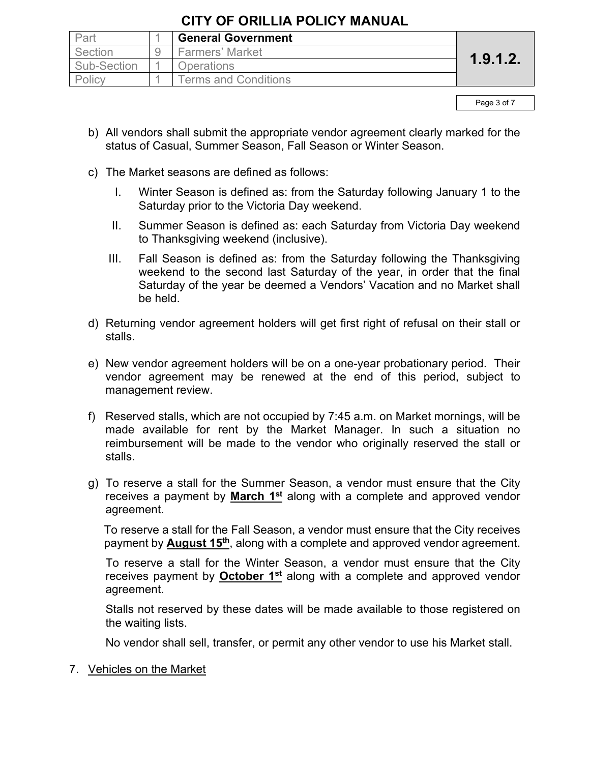| Part        | <b>General Government</b>   |          |
|-------------|-----------------------------|----------|
| Section     | <b>Farmers' Market</b>      | 1.9.1.2. |
| Sub-Section | <b>Operations</b>           |          |
| Policy      | <b>Terms and Conditions</b> |          |

Page 3 of 7

- b) All vendors shall submit the appropriate vendor agreement clearly marked for the status of Casual, Summer Season, Fall Season or Winter Season.
- c) The Market seasons are defined as follows:
	- I. Winter Season is defined as: from the Saturday following January 1 to the Saturday prior to the Victoria Day weekend.
	- II. Summer Season is defined as: each Saturday from Victoria Day weekend to Thanksgiving weekend (inclusive).
	- III. Fall Season is defined as: from the Saturday following the Thanksgiving weekend to the second last Saturday of the year, in order that the final Saturday of the year be deemed a Vendors' Vacation and no Market shall be held.
- d) Returning vendor agreement holders will get first right of refusal on their stall or stalls.
- e) New vendor agreement holders will be on a one-year probationary period. Their vendor agreement may be renewed at the end of this period, subject to management review.
- f) Reserved stalls, which are not occupied by 7:45 a.m. on Market mornings, will be made available for rent by the Market Manager. In such a situation no reimbursement will be made to the vendor who originally reserved the stall or stalls.
- g) To reserve a stall for the Summer Season, a vendor must ensure that the City receives a payment by **March 1st** along with a complete and approved vendor agreement.

To reserve a stall for the Fall Season, a vendor must ensure that the City receives payment by **August 15th**, along with a complete and approved vendor agreement.

To reserve a stall for the Winter Season, a vendor must ensure that the City receives payment by **October 1st** along with a complete and approved vendor agreement.

Stalls not reserved by these dates will be made available to those registered on the waiting lists.

No vendor shall sell, transfer, or permit any other vendor to use his Market stall.

### 7. Vehicles on the Market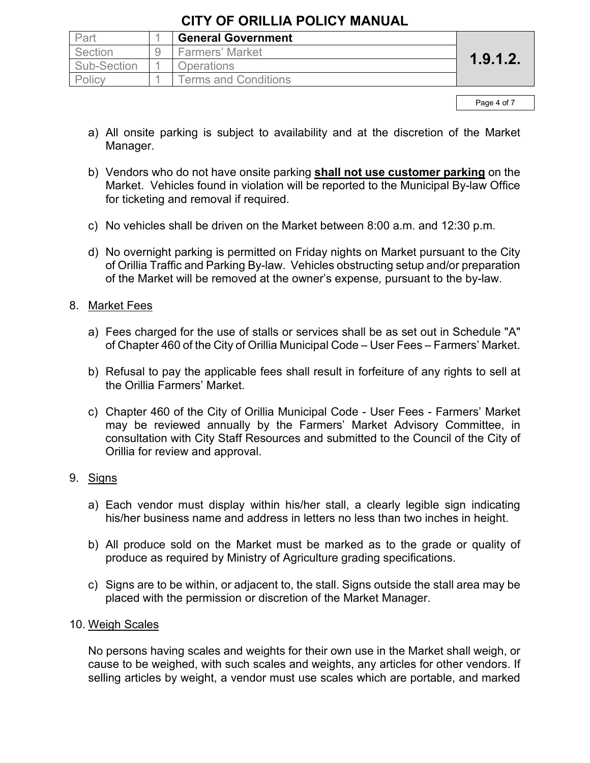| Part        | <b>General Government</b>   |          |
|-------------|-----------------------------|----------|
| Section     | Farmers' Market             |          |
| Sub-Section | <b>Operations</b>           | 1.9.1.2. |
| Policy      | <b>Ferms and Conditions</b> |          |

Page 4 of 7

- a) All onsite parking is subject to availability and at the discretion of the Market Manager.
- b) Vendors who do not have onsite parking **shall not use customer parking** on the Market. Vehicles found in violation will be reported to the Municipal By-law Office for ticketing and removal if required.
- c) No vehicles shall be driven on the Market between 8:00 a.m. and 12:30 p.m.
- d) No overnight parking is permitted on Friday nights on Market pursuant to the City of Orillia Traffic and Parking By-law. Vehicles obstructing setup and/or preparation of the Market will be removed at the owner's expense*,* pursuant to the by-law.

### 8. Market Fees

- a) Fees charged for the use of stalls or services shall be as set out in Schedule "A" of Chapter 460 of the City of Orillia Municipal Code – User Fees – Farmers' Market.
- b) Refusal to pay the applicable fees shall result in forfeiture of any rights to sell at the Orillia Farmers' Market.
- c) Chapter 460 of the City of Orillia Municipal Code User Fees Farmers' Market may be reviewed annually by the Farmers' Market Advisory Committee, in consultation with City Staff Resources and submitted to the Council of the City of Orillia for review and approval.

### 9. Signs

- a) Each vendor must display within his/her stall, a clearly legible sign indicating his/her business name and address in letters no less than two inches in height.
- b) All produce sold on the Market must be marked as to the grade or quality of produce as required by Ministry of Agriculture grading specifications.
- c) Signs are to be within, or adjacent to, the stall. Signs outside the stall area may be placed with the permission or discretion of the Market Manager.

### 10. Weigh Scales

No persons having scales and weights for their own use in the Market shall weigh, or cause to be weighed, with such scales and weights, any articles for other vendors. If selling articles by weight, a vendor must use scales which are portable, and marked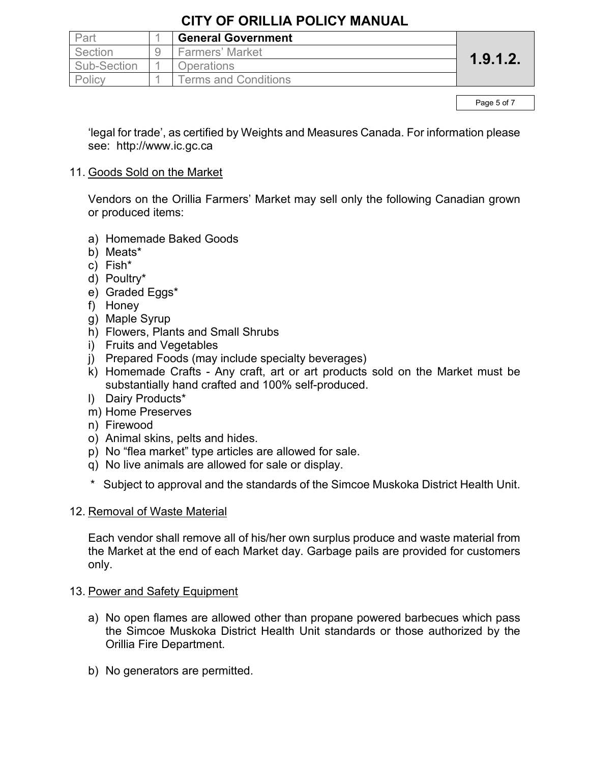| Part        | <b>General Government</b>   |          |
|-------------|-----------------------------|----------|
| Section     | <b>Farmers' Market</b>      |          |
| Sub-Section | <b>Operations</b>           | 1.9.1.2. |
| Policy      | <b>Terms and Conditions</b> |          |

Page 5 of 7

'legal for trade', as certified by Weights and Measures Canada. For information please see: http://www.ic.gc.ca

#### 11. Goods Sold on the Market

Vendors on the Orillia Farmers' Market may sell only the following Canadian grown or produced items:

- a) Homemade Baked Goods
- b) Meats\*
- c) Fish\*
- d) Poultry\*
- e) Graded Eggs\*
- f) Honey
- g) Maple Syrup
- h) Flowers, Plants and Small Shrubs
- i) Fruits and Vegetables
- j) Prepared Foods (may include specialty beverages)
- k) Homemade Crafts Any craft, art or art products sold on the Market must be substantially hand crafted and 100% self-produced.
- l) Dairy Products\*
- m) Home Preserves
- n) Firewood
- o) Animal skins, pelts and hides.
- p) No "flea market" type articles are allowed for sale.
- q) No live animals are allowed for sale or display.
- \* Subject to approval and the standards of the Simcoe Muskoka District Health Unit.

### 12. Removal of Waste Material

Each vendor shall remove all of his/her own surplus produce and waste material from the Market at the end of each Market day. Garbage pails are provided for customers only.

### 13. Power and Safety Equipment

- a) No open flames are allowed other than propane powered barbecues which pass the Simcoe Muskoka District Health Unit standards or those authorized by the Orillia Fire Department.
- b) No generators are permitted.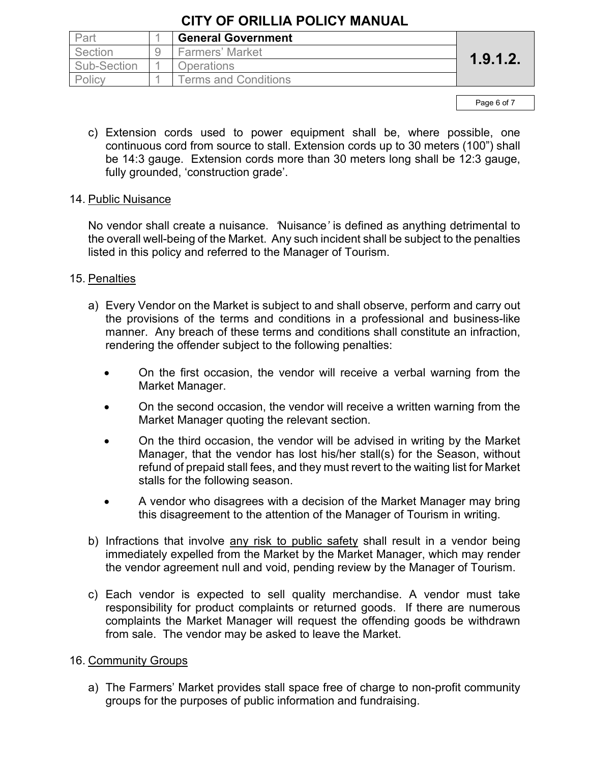| Part        | <b>General Government</b>   |          |
|-------------|-----------------------------|----------|
| Section     | <b>Farmers' Market</b>      | 1.9.1.2. |
| Sub-Section | <b>Operations</b>           |          |
| Policy      | <b>Terms and Conditions</b> |          |

Page 6 of 7

c) Extension cords used to power equipment shall be, where possible, one continuous cord from source to stall. Extension cords up to 30 meters (100") shall be 14:3 gauge. Extension cords more than 30 meters long shall be 12:3 gauge, fully grounded, 'construction grade'.

### 14. Public Nuisance

No vendor shall create a nuisance. *'*Nuisance*'* is defined as anything detrimental to the overall well-being of the Market. Any such incident shall be subject to the penalties listed in this policy and referred to the Manager of Tourism.

### 15. Penalties

- a) Every Vendor on the Market is subject to and shall observe, perform and carry out the provisions of the terms and conditions in a professional and business-like manner. Any breach of these terms and conditions shall constitute an infraction, rendering the offender subject to the following penalties:
	- On the first occasion, the vendor will receive a verbal warning from the Market Manager.
	- On the second occasion, the vendor will receive a written warning from the Market Manager quoting the relevant section.
	- On the third occasion, the vendor will be advised in writing by the Market Manager, that the vendor has lost his/her stall(s) for the Season, without refund of prepaid stall fees, and they must revert to the waiting list for Market stalls for the following season.
	- A vendor who disagrees with a decision of the Market Manager may bring this disagreement to the attention of the Manager of Tourism in writing.
- b) Infractions that involve any risk to public safety shall result in a vendor being immediately expelled from the Market by the Market Manager, which may render the vendor agreement null and void, pending review by the Manager of Tourism.
- c) Each vendor is expected to sell quality merchandise. A vendor must take responsibility for product complaints or returned goods. If there are numerous complaints the Market Manager will request the offending goods be withdrawn from sale. The vendor may be asked to leave the Market.

### 16. Community Groups

a) The Farmers' Market provides stall space free of charge to non-profit community groups for the purposes of public information and fundraising.